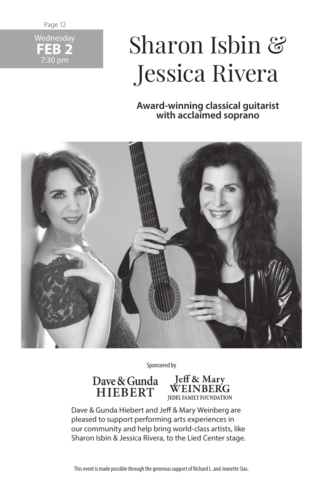Page 12



# Sharon Isbin & Jessica Rivera

**Award-winning classical guitarist with acclaimed soprano**



Sponsored by

**Dave & Gunda HIEBERT**



Dave & Gunda Hiebert and Jeff & Mary Weinberg are pleased to support performing arts experiences in our community and help bring world-class artists, like Sharon Isbin & Jessica Rivera, to the Lied Center stage.

This event is made possible through the generous support of Richard L. and Jeanette Sias.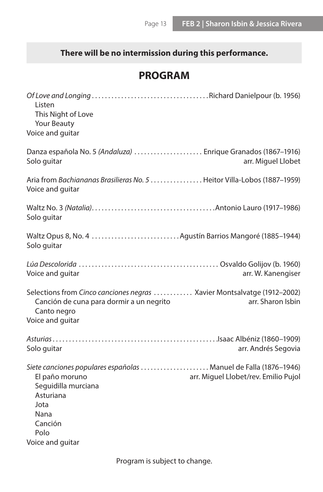# **There will be no intermission during this performance.**

# **PROGRAM**

| Listen<br>This Night of Love<br>Your Beauty<br>Voice and guitar                                                                                                                                                       |
|-----------------------------------------------------------------------------------------------------------------------------------------------------------------------------------------------------------------------|
| Danza española No. 5 (Andaluza)  Enrique Granados (1867-1916)<br>Solo guitar<br>arr. Miguel Llobet                                                                                                                    |
| Aria from Bachiananas Brasilieras No. 5  Heitor Villa-Lobos (1887–1959)<br>Voice and guitar                                                                                                                           |
| Solo guitar                                                                                                                                                                                                           |
| Solo guitar                                                                                                                                                                                                           |
| arr. W. Kanengiser<br>Voice and quitar                                                                                                                                                                                |
| Selections from Cinco canciones negras  Xavier Montsalvatge (1912-2002)<br>Canción de cuna para dormir a un negrito<br>arr. Sharon Isbin<br>Canto negro<br>Voice and guitar                                           |
| Solo guitar<br>arr. Andrés Segovia                                                                                                                                                                                    |
| Siete canciones populares españolas  Manuel de Falla (1876-1946)<br>El paño moruno<br>arr. Miguel Llobet/rev. Emilio Pujol<br>Seguidilla murciana<br>Asturiana<br>Jota<br>Nana<br>Canción<br>Polo<br>Voice and guitar |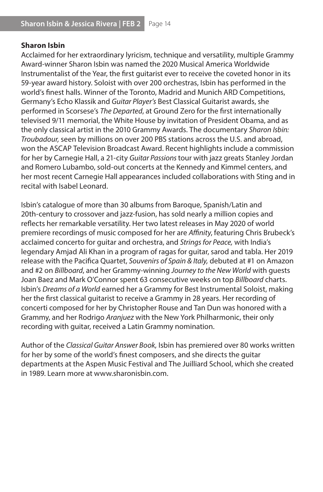#### **Sharon Isbin**

Acclaimed for her extraordinary lyricism, technique and versatility, multiple Grammy Award-winner Sharon Isbin was named the 2020 Musical America Worldwide Instrumentalist of the Year, the first guitarist ever to receive the coveted honor in its 59-year award history. Soloist with over 200 orchestras, Isbin has performed in the world's finest halls. Winner of the Toronto, Madrid and Munich ARD Competitions, Germany's Echo Klassik and *Guitar Player's* Best Classical Guitarist awards, she performed in Scorsese's *The Departed*, at Ground Zero for the first internationally televised 9/11 memorial, the White House by invitation of President Obama, and as the only classical artist in the 2010 Grammy Awards. The documentary *Sharon Isbin: Troubadour,* seen by millions on over 200 PBS stations across the U.S. and abroad, won the ASCAP Television Broadcast Award. Recent highlights include a commission for her by Carnegie Hall, a 21-city *Guitar Passions* tour with jazz greats Stanley Jordan and Romero Lubambo, sold-out concerts at the Kennedy and Kimmel centers, and her most recent Carnegie Hall appearances included collaborations with Sting and in recital with Isabel Leonard.

Isbin's catalogue of more than 30 albums from Baroque, Spanish/Latin and 20th-century to crossover and jazz-fusion, has sold nearly a million copies and reflects her remarkable versatility. Her two latest releases in May 2020 of world premiere recordings of music composed for her are *Affinity*, featuring Chris Brubeck's acclaimed concerto for guitar and orchestra, and *Strings for Peace,* with India's legendary Amjad Ali Khan in a program of ragas for guitar, sarod and tabla. Her 2019 release with the Pacifica Quartet, *Souvenirs of Spain & Italy,* debuted at #1 on Amazon and #2 on *Billboard*, and her Grammy-winning *Journey to the New World* with guests Joan Baez and Mark O'Connor spent 63 consecutive weeks on top *Billboard* charts. Isbin's *Dreams of a World* earned her a Grammy for Best Instrumental Soloist, making her the first classical guitarist to receive a Grammy in 28 years. Her recording of concerti composed for her by Christopher Rouse and Tan Dun was honored with a Grammy, and her Rodrigo *Aranjuez* with the New York Philharmonic, their only recording with guitar, received a Latin Grammy nomination.

Author of the *Classical Guitar Answer Book,* Isbin has premiered over 80 works written for her by some of the world's finest composers, and she directs the guitar departments at the Aspen Music Festival and The Juilliard School, which she created in 1989. Learn more at www.sharonisbin.com.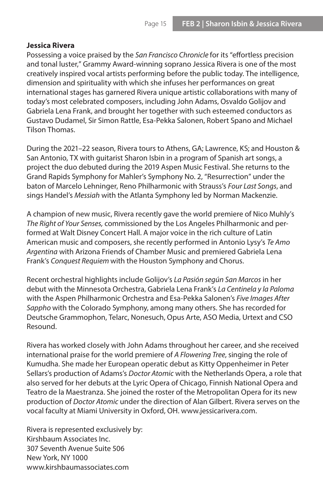#### **Jessica Rivera**

Possessing a voice praised by the *San Francisco Chronicle* for its "effortless precision and tonal luster," Grammy Award-winning soprano Jessica Rivera is one of the most creatively inspired vocal artists performing before the public today. The intelligence, dimension and spirituality with which she infuses her performances on great international stages has garnered Rivera unique artistic collaborations with many of today's most celebrated composers, including John Adams, Osvaldo Golijov and Gabriela Lena Frank, and brought her together with such esteemed conductors as Gustavo Dudamel, Sir Simon Rattle, Esa-Pekka Salonen, Robert Spano and Michael Tilson Thomas.

During the 2021–22 season, Rivera tours to Athens, GA; Lawrence, KS; and Houston & San Antonio, TX with guitarist Sharon Isbin in a program of Spanish art songs, a project the duo debuted during the 2019 Aspen Music Festival. She returns to the Grand Rapids Symphony for Mahler's Symphony No. 2, "Resurrection" under the baton of Marcelo Lehninger, Reno Philharmonic with Strauss's *Four Last Songs*, and sings Handel's *Messiah* with the Atlanta Symphony led by Norman Mackenzie.

A champion of new music, Rivera recently gave the world premiere of Nico Muhly's *The Right of Your Senses,* commissioned by the Los Angeles Philharmonic and performed at Walt Disney Concert Hall. A major voice in the rich culture of Latin American music and composers, she recently performed in Antonio Lysy's *Te Amo Argentina* with Arizona Friends of Chamber Music and premiered Gabriela Lena Frank's *Conquest Requiem* with the Houston Symphony and Chorus.

Recent orchestral highlights include Golijov's *La Pasión según San Marcos* in her debut with the Minnesota Orchestra, Gabriela Lena Frank's *La Centinela y la Paloma* with the Aspen Philharmonic Orchestra and Esa-Pekka Salonen's *Five Images After Sappho* with the Colorado Symphony, among many others. She has recorded for Deutsche Grammophon, Telarc, Nonesuch, Opus Arte, ASO Media, Urtext and CSO Resound.

Rivera has worked closely with John Adams throughout her career, and she received international praise for the world premiere of *A Flowering Tree*, singing the role of Kumudha. She made her European operatic debut as Kitty Oppenheimer in Peter Sellars's production of Adams's *Doctor Atomic* with the Netherlands Opera, a role that also served for her debuts at the Lyric Opera of Chicago, Finnish National Opera and Teatro de la Maestranza. She joined the roster of the Metropolitan Opera for its new production of *Doctor Atomic* under the direction of Alan Gilbert. Rivera serves on the vocal faculty at Miami University in Oxford, OH. www.jessicarivera.com.

Rivera is represented exclusively by: Kirshbaum Associates Inc. 307 Seventh Avenue Suite 506 New York, NY 1000 www.kirshbaumassociates.com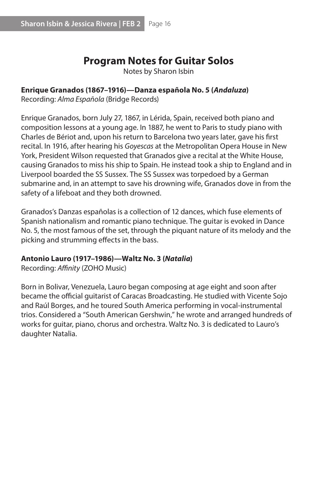# **Program Notes for Guitar Solos**

Notes by Sharon Isbin

#### **Enrique Granados (1867–1916)—Danza española No. 5 (***Andaluza***)**

Recording: *Alma Española* (Bridge Records)

Enrique Granados, born July 27, 1867, in Lérida, Spain, received both piano and composition lessons at a young age. In 1887, he went to Paris to study piano with Charles de Bériot and, upon his return to Barcelona two years later, gave his first recital. In 1916, after hearing his *Goyescas* at the Metropolitan Opera House in New York, President Wilson requested that Granados give a recital at the White House, causing Granados to miss his ship to Spain. He instead took a ship to England and in Liverpool boarded the SS Sussex. The SS Sussex was torpedoed by a German submarine and, in an attempt to save his drowning wife, Granados dove in from the safety of a lifeboat and they both drowned.

Granados's Danzas españolas is a collection of 12 dances, which fuse elements of Spanish nationalism and romantic piano technique. The guitar is evoked in Dance No. 5, the most famous of the set, through the piquant nature of its melody and the picking and strumming effects in the bass.

#### **Antonio Lauro (1917–1986)—Waltz No. 3 (***Natalia***)**

Recording: *Affinity* (ZOHO Music)

Born in Bolivar, Venezuela, Lauro began composing at age eight and soon after became the official guitarist of Caracas Broadcasting. He studied with Vicente Sojo and Raúl Borges, and he toured South America performing in vocal-instrumental trios. Considered a "South American Gershwin," he wrote and arranged hundreds of works for guitar, piano, chorus and orchestra. Waltz No. 3 is dedicated to Lauro's daughter Natalia.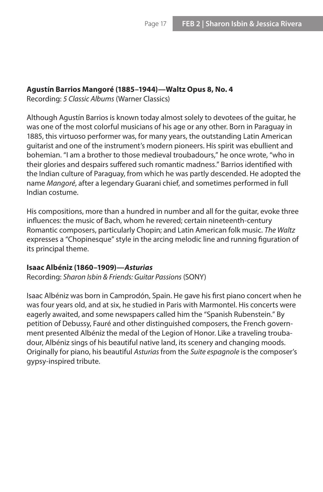#### **Agustín Barrios Mangoré (1885–1944)—Waltz Opus 8, No. 4**

Recording: *5 Classic Albums* (Warner Classics)

Although Agustín Barrios is known today almost solely to devotees of the guitar, he was one of the most colorful musicians of his age or any other. Born in Paraguay in 1885, this virtuoso performer was, for many years, the outstanding Latin American guitarist and one of the instrument's modern pioneers. His spirit was ebullient and bohemian. "I am a brother to those medieval troubadours," he once wrote, "who in their glories and despairs suffered such romantic madness." Barrios identified with the Indian culture of Paraguay, from which he was partly descended. He adopted the name *Mangoré*, after a legendary Guarani chief, and sometimes performed in full Indian costume.

His compositions, more than a hundred in number and all for the guitar, evoke three influences: the music of Bach, whom he revered; certain nineteenth-century Romantic composers, particularly Chopin; and Latin American folk music. *The Waltz* expresses a "Chopinesque" style in the arcing melodic line and running figuration of its principal theme.

#### **Isaac Albéniz (1860–1909)—***Asturias*

Recording: *Sharon Isbin & Friends: Guitar Passions* (SONY)

Isaac Albéniz was born in Camprodón, Spain. He gave his first piano concert when he was four years old, and at six, he studied in Paris with Marmontel. His concerts were eagerly awaited, and some newspapers called him the "Spanish Rubenstein." By petition of Debussy, Fauré and other distinguished composers, the French government presented Albéniz the medal of the Legion of Honor. Like a traveling troubadour, Albéniz sings of his beautiful native land, its scenery and changing moods. Originally for piano, his beautiful *Asturias* from the *Suite espagnole* is the composer's gypsy-inspired tribute.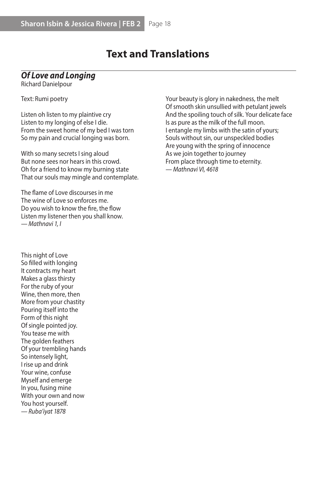# **Text and Translations**

## *Of Love and Longing*

Richard Danielpour

Text: Rumi poetry

Listen oh listen to my plaintive cry Listen to my longing of else I die. From the sweet home of my bed I was torn So my pain and crucial longing was born.

With so many secrets I sing aloud But none sees nor hears in this crowd. Oh for a friend to know my burning state That our souls may mingle and contemplate.

The flame of Love discourses in me The wine of Love so enforces me. Do you wish to know the fire, the flow Listen my listener then you shall know. *— Mathnavi 1, I*

This night of Love So filled with longing It contracts my heart Makes a glass thirsty For the ruby of your Wine, then more, then More from your chastity Pouring itself into the Form of this night Of single pointed joy. You tease me with The golden feathers Of your trembling hands So intensely light, I rise up and drink Your wine, confuse Myself and emerge In you, fusing mine With your own and now You host yourself. *— Ruba'iyat 1878*

Your beauty is glory in nakedness, the melt Of smooth skin unsullied with petulant jewels And the spoiling touch of silk. Your delicate face Is as pure as the milk of the full moon. I entangle my limbs with the satin of yours; Souls without sin, our unspeckled bodies Are young with the spring of innocence As we join together to journey From place through time to eternity. *— Mathnavi VI, 4618*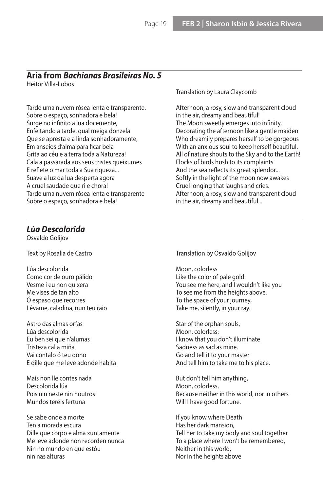# **Aria from** *Bachianas Brasileiras No. 5*

Heitor Villa-Lobos

Tarde uma nuvem rósea lenta e transparente. Sobre o espaço, sonhadora e bela! Surge no infinito a lua docemente, Enfeitando a tarde, qual meiga donzela Que se apresta e a linda sonhadoramente, Em anseios d'alma para ficar bela Grita ao céu e a terra toda a Natureza! Cala a passarada aos seus tristes queixumes E reflete o mar toda a Sua riqueza... Suave a luz da lua desperta agora A cruel saudade que ri e chora! Tarde uma nuvem rósea lenta e transparente Sobre o espaço, sonhadora e bela!

Translation by Laura Claycomb

Afternoon, a rosy, slow and transparent cloud in the air, dreamy and beautiful! The Moon sweetly emerges into infinity, Decorating the afternoon like a gentle maiden Who dreamily prepares herself to be gorgeous With an anxious soul to keep herself beautiful. All of nature shouts to the Sky and to the Earth! Flocks of birds hush to its complaints And the sea reflects its great splendor... Softly in the light of the moon now awakes Cruel longing that laughs and cries. Afternoon, a rosy, slow and transparent cloud in the air, dreamy and beautiful...

#### *Lúa Descolorida*

Osvaldo Golijov

Text by Rosalia de Castro

- Lúa descolorida Como cor de ouro pálido Vesme i eu non quixera Me vises de tan alto Ó espaso que recorres Lévame, caladiña, nun teu raio
- Astro das almas orfas Lúa descolorida Eu ben sei que n'alumas Tristeza cal a miña Vai contalo ó teu dono E dille que me leve adonde habita
- Mais non lle contes nada Descolorida lúa Pois nin neste nin noutros Mundos teréis fertuna
- Se sabe onde a morte Ten a morada escura Dille que corpo e alma xuntamente Me leve adonde non recorden nunca Nin no mundo en que estóu nin nas alturas

Translation by Osvaldo Golijov

Moon, colorless Like the color of pale gold: You see me here, and I wouldn't like you To see me from the heights above. To the space of your journey, Take me, silently, in your ray.

Star of the orphan souls, Moon, colorless: I know that you don't illuminate Sadness as sad as mine. Go and tell it to your master And tell him to take me to his place.

But don't tell him anything, Moon, colorless, Because neither in this world, nor in others Will I have good fortune.

If you know where Death Has her dark mansion, Tell her to take my body and soul together To a place where I won't be remembered, Neither in this world, Nor in the heights above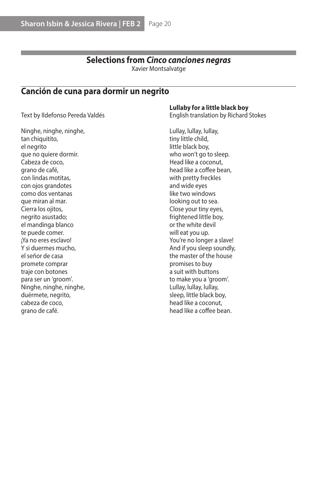# **Selections from** *Cinco canciones negras*

Xavier Montsalvatge

## **Canción de cuna para dormir un negrito**

Text by Ildefonso Pereda Valdés

**Lullaby for a little black boy**

English translation by Richard Stokes

Ninghe, ninghe, ninghe, tan chiquitito, el negrito que no quiere dormir. Cabeza de coco, grano de café, con lindas motitas, con ojos grandotes como dos ventanas que miran al mar. Cierra los ojitos, negrito asustado; el mandinga blanco te puede comer. ¡Ya no eres esclavo! Y si duermes mucho, el señor de casa promete comprar traje con botones para ser un 'groom'. Ninghe, ninghe, ninghe, duérmete, negrito, cabeza de coco, grano de café.

Lullay, lullay, lullay, tiny little child, little black boy, who won't go to sleep. Head like a coconut, head like a coffee bean, with pretty freckles and wide eyes like two windows looking out to sea. Close your tiny eyes, frightened little boy, or the white devil will eat you up. You're no longer a slave! And if you sleep soundly, the master of the house promises to buy a suit with buttons to make you a 'groom'. Lullay, lullay, lullay, sleep, little black boy, head like a coconut, head like a coffee bean.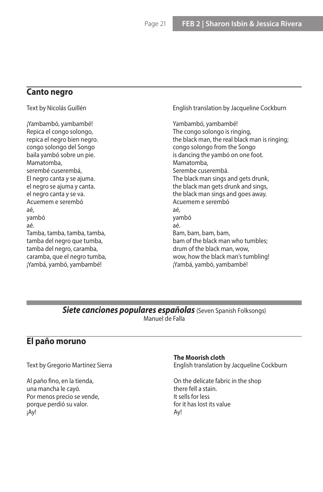## **Canto negro**

Text by Nicolás Guillén ¡Yambambó, yambambé! Repica el congo solongo, repica el negro bien negro. congo solongo del Songo baila yambó sobre un pie. Mamatomba, serembé cuserembá, El negro canta y se ajuma. el negro se ajuma y canta. el negro canta y se va. Acuemem e serembó aé, yambó aé. Tamba, tamba, tamba, tamba, tamba del negro que tumba, tamba del negro, caramba, caramba, que el negro tumba, ¡Yambá, yambó, yambambé! English translation by Jacqueline Cockburn Yambambó, yambambé! The congo solongo is ringing, the black man, the real black man is ringing; congo solongo from the Songo is dancing the yambó on one foot. Mamatomba, Serembe cuserembá. The black man sings and gets drunk, the black man gets drunk and sings, the black man sings and goes away. Acuemem e serembó aé, yambó aé. Bam, bam, bam, bam, bam of the black man who tumbles; drum of the black man, wow, wow, how the black man's tumbling! ¡Yambá, yambó, yambambé!

#### **Siete canciones populares españolas** (Seven Spanish Folksongs) Manuel de Falla

## **El paño moruno**

Text by Gregorio Martínez Sierra

Al paño fino, en la tienda, una mancha le cayó. Por menos precio se vende, porque perdió su valor. ¡Ay!

#### **The Moorish cloth**

English translation by Jacqueline Cockburn

On the delicate fabric in the shop there fell a stain. It sells for less for it has lost its value Ay!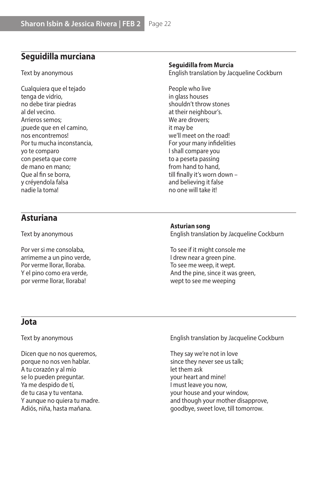## **Seguidilla murciana**

Text by anonymous

Cualquiera que el tejado tenga de vidrio, no debe tirar piedras al del vecino. Arrieros semos; ¡puede que en el camino, nos encontremos! Por tu mucha inconstancia, yo te comparo con peseta que corre de mano en mano; Que al fin se borra, y créyendola falsa nadie la toma!

#### **Seguidilla from Murcia**

English translation by Jacqueline Cockburn

People who live in glass houses shouldn't throw stones at their neighbour's. We are drovers; it may be we'll meet on the road! For your many infidelities I shall compare you to a peseta passing from hand to hand, till finally it's worn down – and believing it false no one will take it!

## **Asturiana**

Text by anonymous

Por ver si me consolaba, arrimeme a un pino verde, Por verme llorar, lloraba. Y el pino como era verde, por verme llorar, lloraba!

#### **Asturian song**

English translation by Jacqueline Cockburn

To see if it might console me I drew near a green pine. To see me weep, it wept. And the pine, since it was green, wept to see me weeping

#### **Jota**

Text by anonymous

Dicen que no nos queremos, porque no nos ven hablar. A tu corazón y al mío se lo pueden preguntar. Ya me despido de tí, de tu casa y tu ventana. Y aunque no quiera tu madre. Adiós, niña, hasta mañana.

English translation by Jacqueline Cockburn

They say we're not in love since they never see us talk; let them ask your heart and mine! I must leave you now, your house and your window, and though your mother disapprove, goodbye, sweet love, till tomorrow.